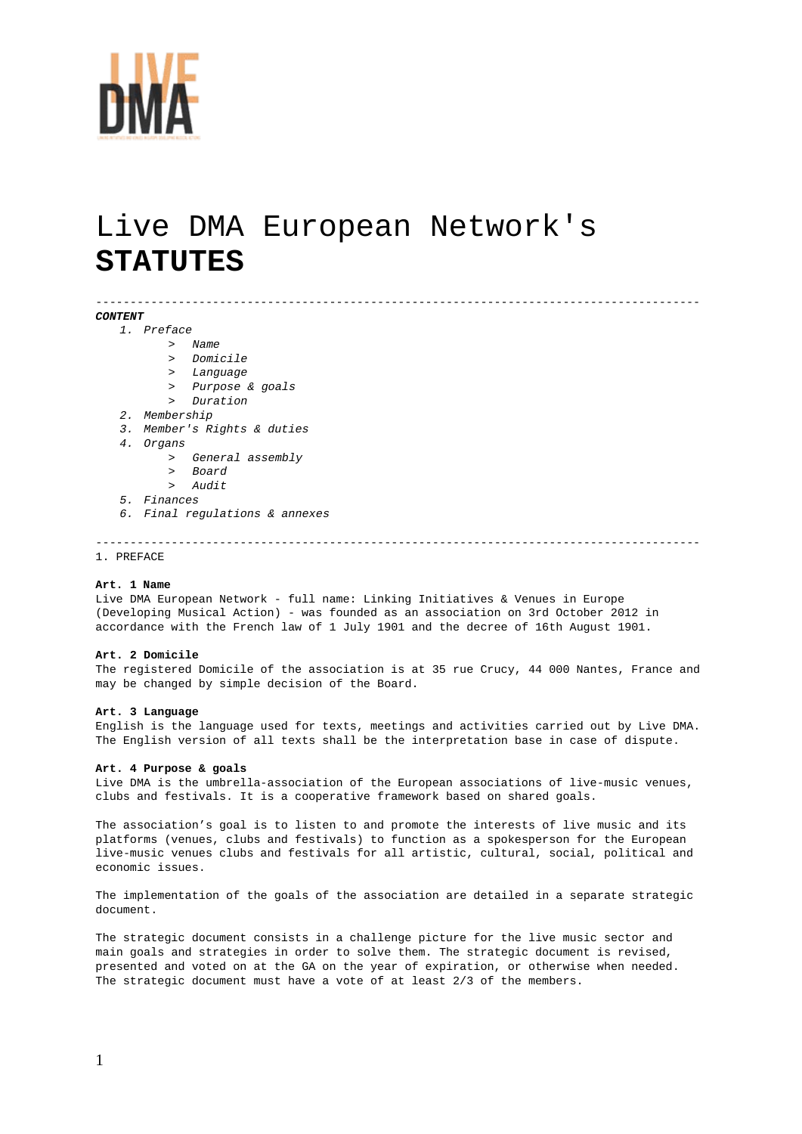

# Live DMA European Network's **STATUTES**

#### *CONTENT*

- *1. Preface*
	- > *Name*
	- > *Domicile*
	- > *Language*
	- > *Purpose & goals*
	- > *Duration*
- *2. Membership*
- *3. Member's Rights & duties*
- *4. Organs*
	- > *General assembly*
	- > *Board*
	- > *Audit*
- *5. Finances*
- *6. Final regulations & annexes*

----------------------------------------------------------------------------------------

----------------------------------------------------------------------------------------

# 1. PREFACE

# **Art. 1 Name**

Live DMA European Network - full name: Linking Initiatives & Venues in Europe (Developing Musical Action) - was founded as an association on 3rd October 2012 in accordance with the French law of 1 July 1901 and the decree of 16th August 1901.

#### **Art. 2 Domicile**

The registered Domicile of the association is at 35 rue Crucy, 44 000 Nantes, France and may be changed by simple decision of the Board.

#### **Art. 3 Language**

English is the language used for texts, meetings and activities carried out by Live DMA. The English version of all texts shall be the interpretation base in case of dispute.

#### **Art. 4 Purpose & goals**

Live DMA is the umbrella-association of the European associations of live-music venues, clubs and festivals. It is a cooperative framework based on shared goals.

The association's goal is to listen to and promote the interests of live music and its platforms (venues, clubs and festivals) to function as a spokesperson for the European live-music venues clubs and festivals for all artistic, cultural, social, political and economic issues.

The implementation of the goals of the association are detailed in a separate strategic document.

The strategic document consists in a challenge picture for the live music sector and main goals and strategies in order to solve them. The strategic document is revised, presented and voted on at the GA on the year of expiration, or otherwise when needed. The strategic document must have a vote of at least 2/3 of the members.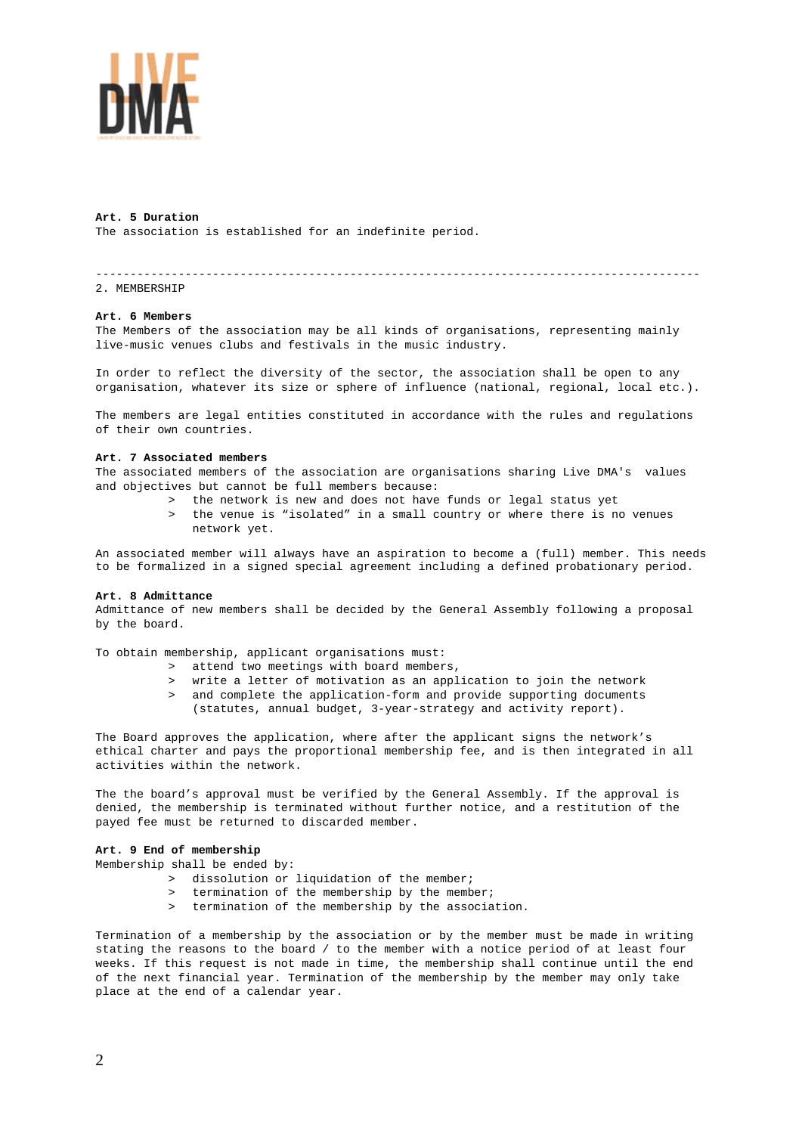

# **Art. 5 Duration**

The association is established for an indefinite period.

# ----------------------------------------------------------------------------------------

2. MEMBERSHIP

# **Art. 6 Members**

The Members of the association may be all kinds of organisations, representing mainly live-music venues clubs and festivals in the music industry.

In order to reflect the diversity of the sector, the association shall be open to any organisation, whatever its size or sphere of influence (national, regional, local etc.).

The members are legal entities constituted in accordance with the rules and regulations of their own countries.

### **Art. 7 Associated members**

The associated members of the association are organisations sharing Live DMA's values and objectives but cannot be full members because:

- > the network is new and does not have funds or legal status yet
- > the venue is "isolated" in a small country or where there is no venues network yet.

An associated member will always have an aspiration to become a (full) member. This needs to be formalized in a signed special agreement including a defined probationary period.

#### **Art. 8 Admittance**

Admittance of new members shall be decided by the General Assembly following a proposal by the board.

To obtain membership, applicant organisations must:

- > attend two meetings with board members,
- > write a letter of motivation as an application to join the network
- and complete the application-form and provide supporting documents (statutes, annual budget, 3-year-strategy and activity report).

The Board approves the application, where after the applicant signs the network's ethical charter and pays the proportional membership fee, and is then integrated in all activities within the network.

The the board's approval must be verified by the General Assembly. If the approval is denied, the membership is terminated without further notice, and a restitution of the payed fee must be returned to discarded member.

# **Art. 9 End of membership**

Membership shall be ended by:

- > dissolution or liquidation of the member;
- > termination of the membership by the member;
- termination of the membership by the association.

Termination of a membership by the association or by the member must be made in writing stating the reasons to the board / to the member with a notice period of at least four weeks. If this request is not made in time, the membership shall continue until the end of the next financial year. Termination of the membership by the member may only take place at the end of a calendar year.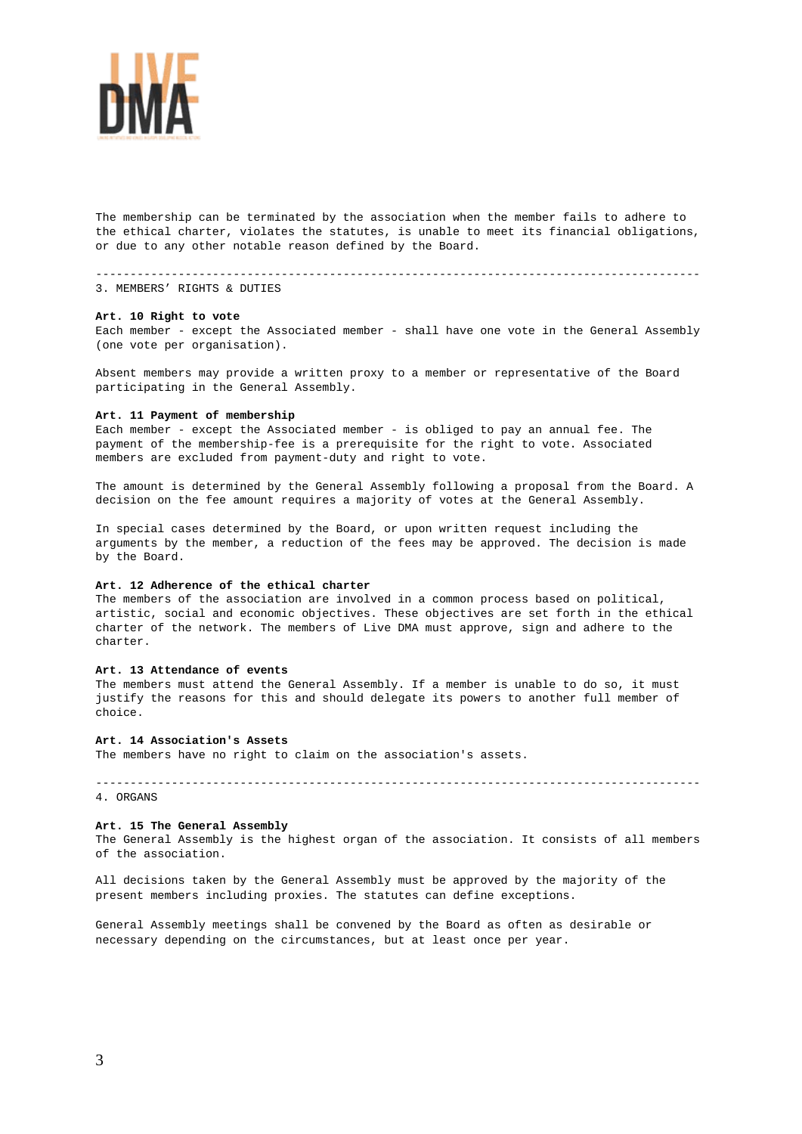

The membership can be terminated by the association when the member fails to adhere to the ethical charter, violates the statutes, is unable to meet its financial obligations, or due to any other notable reason defined by the Board.

----------------------------------------------------------------------------------------

3. MEMBERS' RIGHTS & DUTIES

#### **Art. 10 Right to vote**

Each member - except the Associated member - shall have one vote in the General Assembly (one vote per organisation).

Absent members may provide a written proxy to a member or representative of the Board participating in the General Assembly.

#### **Art. 11 Payment of membership**

Each member - except the Associated member - is obliged to pay an annual fee. The payment of the membership-fee is a prerequisite for the right to vote. Associated members are excluded from payment-duty and right to vote.

The amount is determined by the General Assembly following a proposal from the Board. A decision on the fee amount requires a majority of votes at the General Assembly.

In special cases determined by the Board, or upon written request including the arguments by the member, a reduction of the fees may be approved. The decision is made by the Board.

# **Art. 12 Adherence of the ethical charter**

The members of the association are involved in a common process based on political, artistic, social and economic objectives. These objectives are set forth in the ethical charter of the network. The members of Live DMA must approve, sign and adhere to the charter.

#### **Art. 13 Attendance of events**

The members must attend the General Assembly. If a member is unable to do so, it must justify the reasons for this and should delegate its powers to another full member of choice.

#### **Art. 14 Association's Assets**

The members have no right to claim on the association's assets.

# 4. ORGANS

#### **Art. 15 The General Assembly**

The General Assembly is the highest organ of the association. It consists of all members of the association.

----------------------------------------------------------------------------------------

All decisions taken by the General Assembly must be approved by the majority of the present members including proxies. The statutes can define exceptions.

General Assembly meetings shall be convened by the Board as often as desirable or necessary depending on the circumstances, but at least once per year.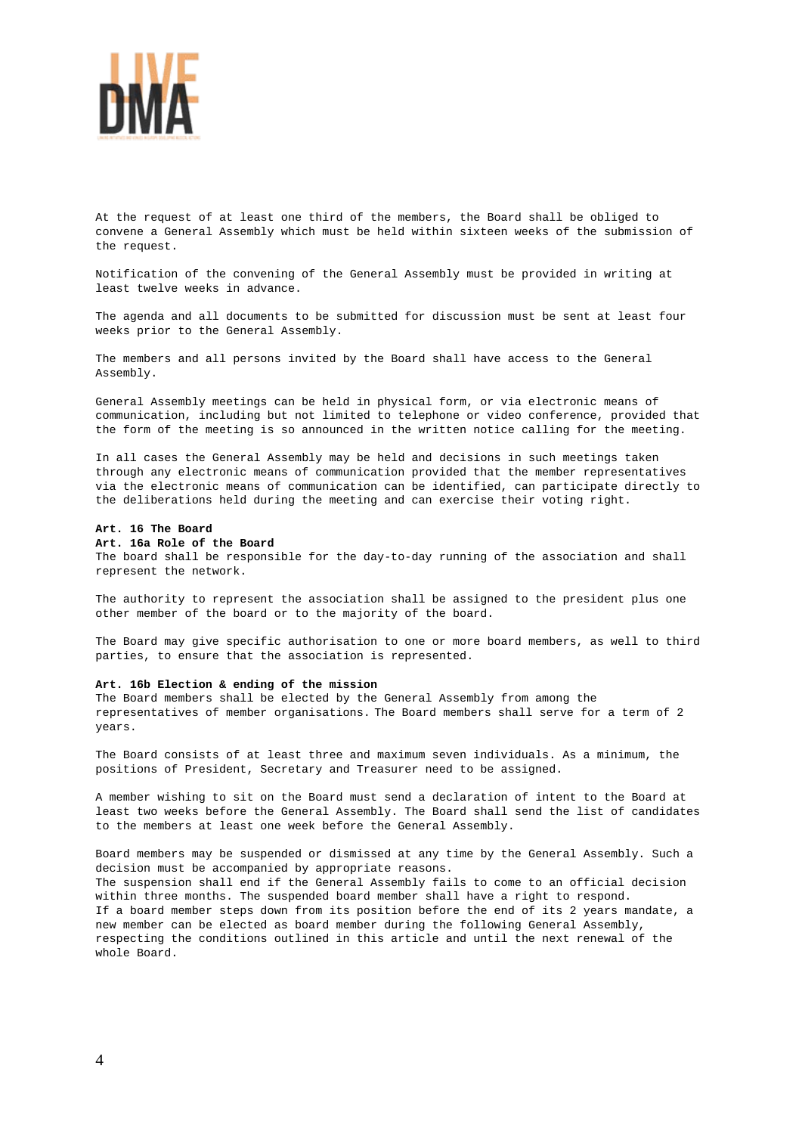

At the request of at least one third of the members, the Board shall be obliged to convene a General Assembly which must be held within sixteen weeks of the submission of the request.

Notification of the convening of the General Assembly must be provided in writing at least twelve weeks in advance.

The agenda and all documents to be submitted for discussion must be sent at least four weeks prior to the General Assembly.

The members and all persons invited by the Board shall have access to the General Assembly.

General Assembly meetings can be held in physical form, or via electronic means of communication, including but not limited to telephone or video conference, provided that the form of the meeting is so announced in the written notice calling for the meeting.

In all cases the General Assembly may be held and decisions in such meetings taken through any electronic means of communication provided that the member representatives via the electronic means of communication can be identified, can participate directly to the deliberations held during the meeting and can exercise their voting right.

#### **Art. 16 The Board**

#### **Art. 16a Role of the Board**

The board shall be responsible for the day-to-day running of the association and shall represent the network.

The authority to represent the association shall be assigned to the president plus one other member of the board or to the majority of the board.

The Board may give specific authorisation to one or more board members, as well to third parties, to ensure that the association is represented.

# **Art. 16b Election & ending of the mission**

The Board members shall be elected by the General Assembly from among the representatives of member organisations. The Board members shall serve for a term of 2 years.

The Board consists of at least three and maximum seven individuals. As a minimum, the positions of President, Secretary and Treasurer need to be assigned.

A member wishing to sit on the Board must send a declaration of intent to the Board at least two weeks before the General Assembly. The Board shall send the list of candidates to the members at least one week before the General Assembly.

Board members may be suspended or dismissed at any time by the General Assembly. Such a decision must be accompanied by appropriate reasons. The suspension shall end if the General Assembly fails to come to an official decision within three months. The suspended board member shall have a right to respond. If a board member steps down from its position before the end of its 2 years mandate, a new member can be elected as board member during the following General Assembly, respecting the conditions outlined in this article and until the next renewal of the whole Board.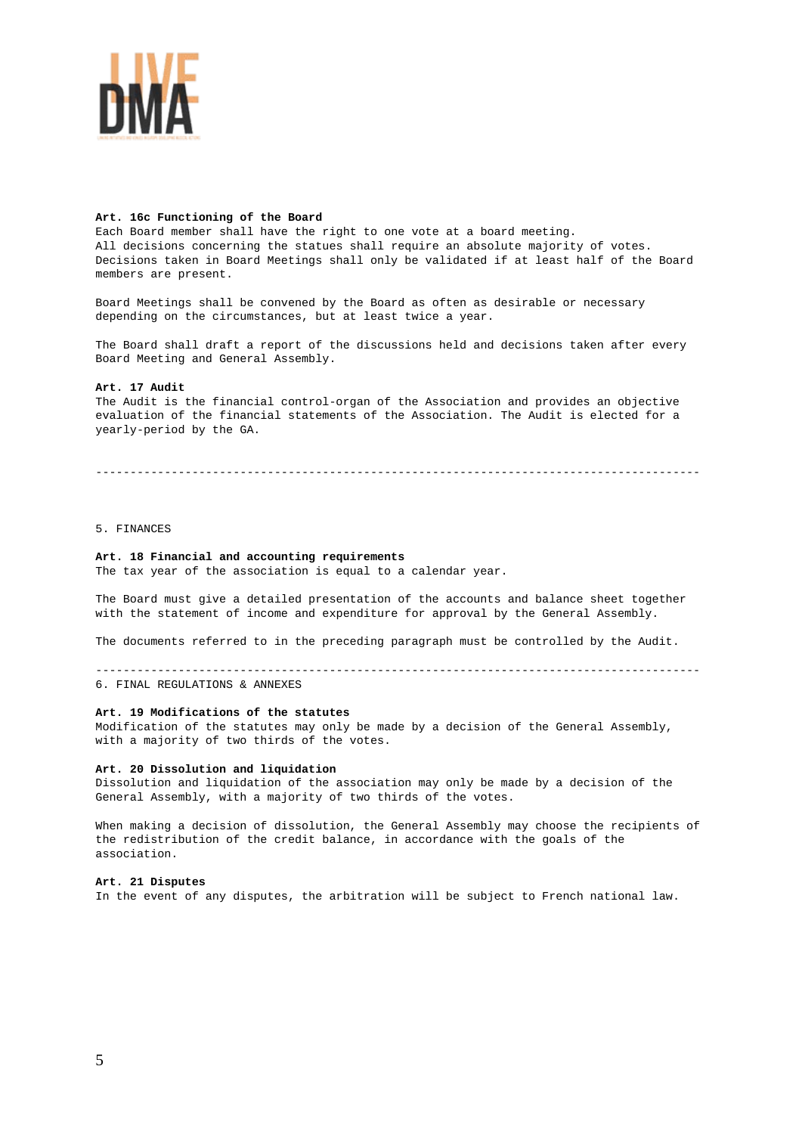

# **Art. 16c Functioning of the Board**

Each Board member shall have the right to one vote at a board meeting. All decisions concerning the statues shall require an absolute majority of votes. Decisions taken in Board Meetings shall only be validated if at least half of the Board members are present.

Board Meetings shall be convened by the Board as often as desirable or necessary depending on the circumstances, but at least twice a year.

The Board shall draft a report of the discussions held and decisions taken after every Board Meeting and General Assembly.

# **Art. 17 Audit**

The Audit is the financial control-organ of the Association and provides an objective evaluation of the financial statements of the Association. The Audit is elected for a yearly-period by the GA.

----------------------------------------------------------------------------------------

# 5. FINANCES

# **Art. 18 Financial and accounting requirements**

The tax year of the association is equal to a calendar year.

The Board must give a detailed presentation of the accounts and balance sheet together with the statement of income and expenditure for approval by the General Assembly.

The documents referred to in the preceding paragraph must be controlled by the Audit.

---------------------------------------------------------------------------------------- 6. FINAL REGULATIONS & ANNEXES

# **Art. 19 Modifications of the statutes**

Modification of the statutes may only be made by a decision of the General Assembly, with a majority of two thirds of the votes.

### **Art. 20 Dissolution and liquidation**

Dissolution and liquidation of the association may only be made by a decision of the General Assembly, with a majority of two thirds of the votes.

When making a decision of dissolution, the General Assembly may choose the recipients of the redistribution of the credit balance, in accordance with the goals of the association.

# **Art. 21 Disputes**

In the event of any disputes, the arbitration will be subject to French national law.